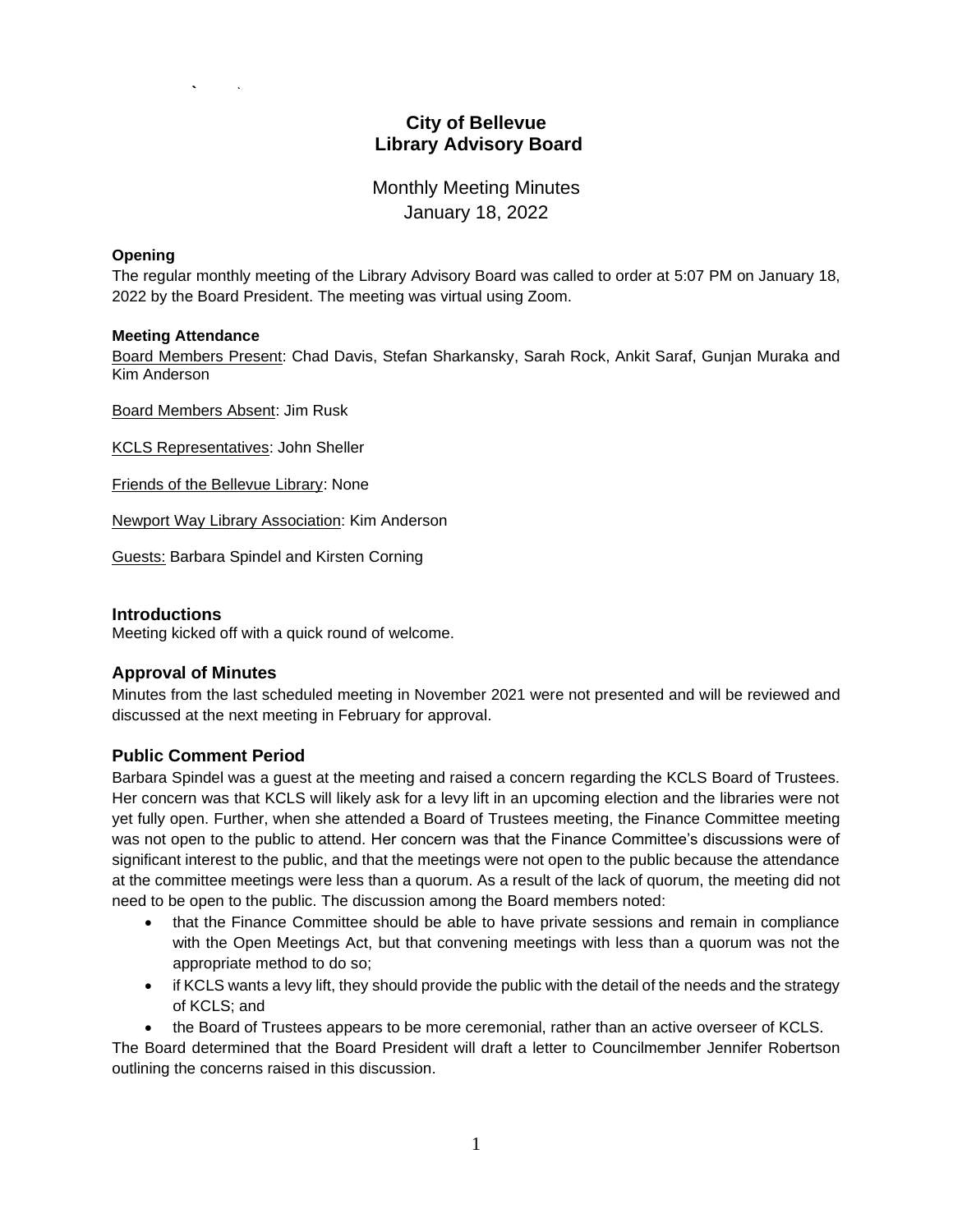# **City of Bellevue Library Advisory Board**

Monthly Meeting Minutes January 18, 2022

#### **Opening**

The regular monthly meeting of the Library Advisory Board was called to order at 5:07 PM on January 18, 2022 by the Board President. The meeting was virtual using Zoom.

#### **Meeting Attendance**

Board Members Present: Chad Davis, Stefan Sharkansky, Sarah Rock, Ankit Saraf, Gunjan Muraka and Kim Anderson

Board Members Absent: Jim Rusk

KCLS Representatives: John Sheller

Friends of the Bellevue Library: None

Newport Way Library Association: Kim Anderson

Guests: Barbara Spindel and Kirsten Corning

### **Introductions**

Meeting kicked off with a quick round of welcome.

## **Approval of Minutes**

Minutes from the last scheduled meeting in November 2021 were not presented and will be reviewed and discussed at the next meeting in February for approval.

## **Public Comment Period**

Barbara Spindel was a guest at the meeting and raised a concern regarding the KCLS Board of Trustees. Her concern was that KCLS will likely ask for a levy lift in an upcoming election and the libraries were not yet fully open. Further, when she attended a Board of Trustees meeting, the Finance Committee meeting was not open to the public to attend. Her concern was that the Finance Committee's discussions were of significant interest to the public, and that the meetings were not open to the public because the attendance at the committee meetings were less than a quorum. As a result of the lack of quorum, the meeting did not need to be open to the public. The discussion among the Board members noted:

- that the Finance Committee should be able to have private sessions and remain in compliance with the Open Meetings Act, but that convening meetings with less than a quorum was not the appropriate method to do so;
- if KCLS wants a levy lift, they should provide the public with the detail of the needs and the strategy of KCLS; and
- the Board of Trustees appears to be more ceremonial, rather than an active overseer of KCLS.

The Board determined that the Board President will draft a letter to Councilmember Jennifer Robertson outlining the concerns raised in this discussion.